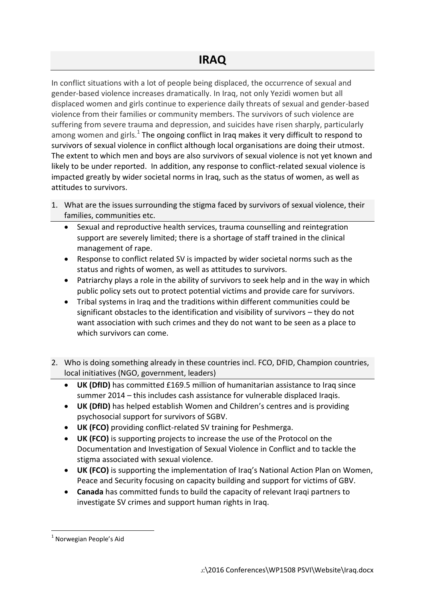In conflict situations with a lot of people being displaced, the occurrence of sexual and gender-based violence increases dramatically. In Iraq, not only Yezidi women but all displaced women and girls continue to experience daily threats of sexual and gender-based violence from their families or community members. The survivors of such violence are suffering from severe trauma and depression, and suicides have risen sharply, particularly among women and girls.<sup>1</sup> The ongoing conflict in Iraq makes it very difficult to respond to survivors of sexual violence in conflict although local organisations are doing their utmost. The extent to which men and boys are also survivors of sexual violence is not yet known and likely to be under reported. In addition, any response to conflict-related sexual violence is impacted greatly by wider societal norms in Iraq, such as the status of women, as well as attitudes to survivors.

- 1. What are the issues surrounding the stigma faced by survivors of sexual violence, their families, communities etc.
	- Sexual and reproductive health services, trauma counselling and reintegration support are severely limited; there is a shortage of staff trained in the clinical management of rape.
	- Response to conflict related SV is impacted by wider societal norms such as the status and rights of women, as well as attitudes to survivors.
	- Patriarchy plays a role in the ability of survivors to seek help and in the way in which public policy sets out to protect potential victims and provide care for survivors.
	- Tribal systems in Iraq and the traditions within different communities could be significant obstacles to the identification and visibility of survivors – they do not want association with such crimes and they do not want to be seen as a place to which survivors can come.
- 2. Who is doing something already in these countries incl. FCO, DFID, Champion countries, local initiatives (NGO, government, leaders)
	- **UK (DfID)** has committed £169.5 million of humanitarian assistance to Iraq since summer 2014 – this includes cash assistance for vulnerable displaced Iraqis.
	- **UK (DfID)** has helped establish Women and Children's centres and is providing psychosocial support for survivors of SGBV.
	- **UK (FCO)** providing conflict-related SV training for Peshmerga.
	- **UK (FCO)** is supporting projects to increase the use of the Protocol on the Documentation and Investigation of Sexual Violence in Conflict and to tackle the stigma associated with sexual violence.
	- **UK (FCO)** is supporting the implementation of Iraq's National Action Plan on Women, Peace and Security focusing on capacity building and support for victims of GBV.
	- **Canada** has committed funds to build the capacity of relevant Iraqi partners to investigate SV crimes and support human rights in Iraq.

1

<sup>&</sup>lt;sup>1</sup> Norwegian People's Aid